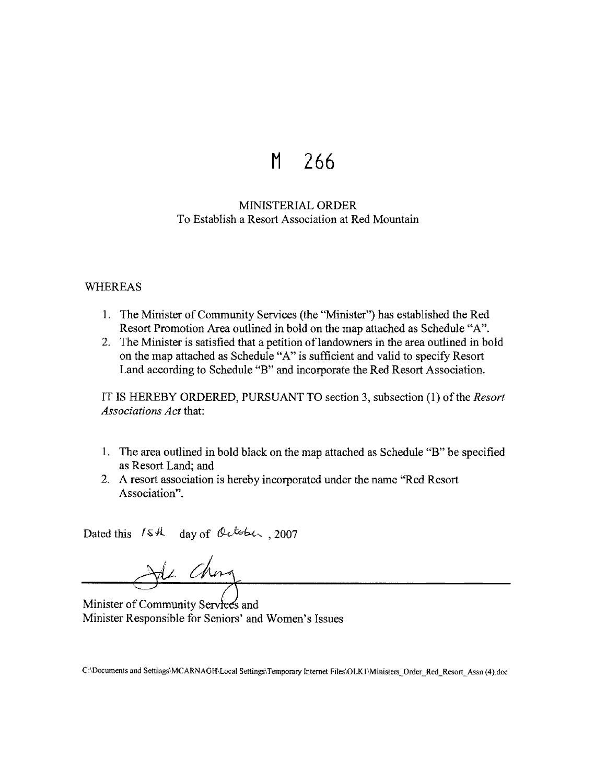## **M 266**

## MINISTERIAL ORDER To Establish a Resort Association at Red Mountain

## WHEREAS

- 1. The Minister of Community Services (the "Minister") has established the Red Resort Promotion Area outlined in bold on the map attached as Schedule "A".
- 2. The Minister is satisfied that a petition of landowners in the area outlined in bold on the map attached as Schedule "A" is sufficient and valid to specify Resort Land according to Schedule "B" and incorporate the Red Resort Association.

IT IS HEREBY ORDERED, PURSUANT TO section 3, subsection (1) of the *Resort Associations Act* that:

- 1. The area outlined in bold black on the map attached as Schedule "B" be specified as Resort Land; and
- 2. A resort association is hereby incorporated under the name "Red Resort Association".

Dated this  $I$ s  $\mu$  day of October , 2007

Je ching

Minister of Community Services and Minister Responsible for Seniors' and Women's Issues

C:\Documents and Settings\MCARNAGH\Local Settings\Temporary Internet Files\OLKI \Ministers\_ Order\_ Red\_ Resort\_ Assn ( 4).doc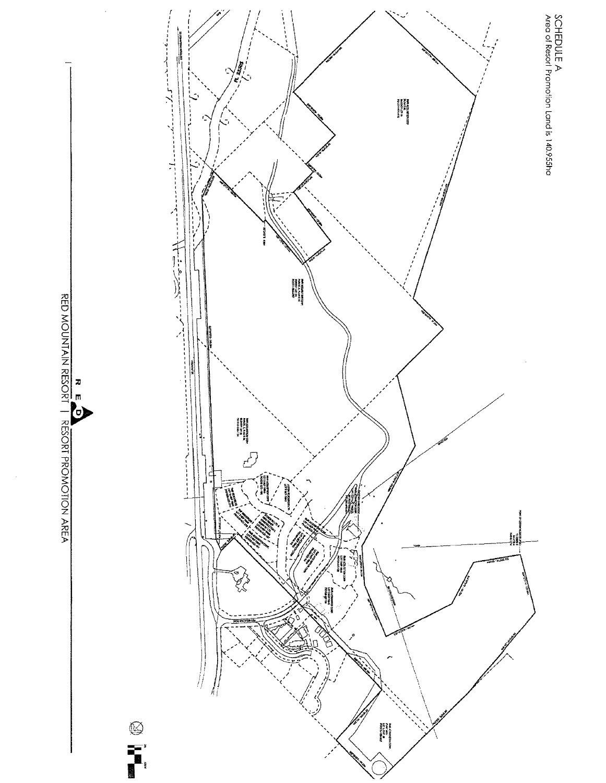